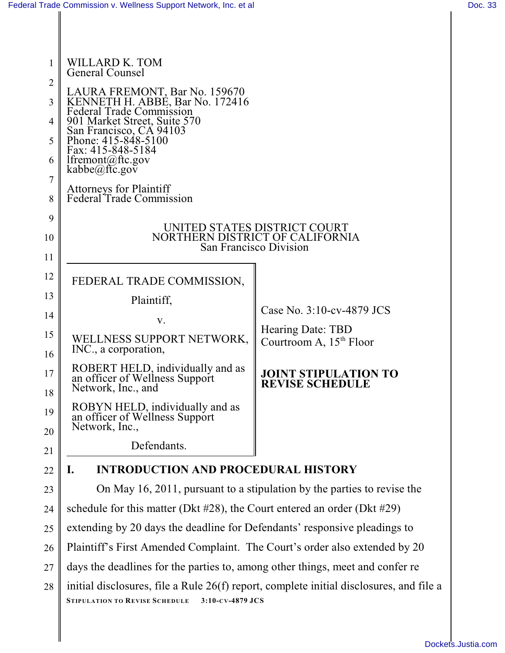| 1                   | WILLARD K. TOM<br><b>General Counsel</b>                                                     |                                                          |  |  |  |
|---------------------|----------------------------------------------------------------------------------------------|----------------------------------------------------------|--|--|--|
| $\overline{2}$      |                                                                                              |                                                          |  |  |  |
| 3                   | LAURA FREMONT, Bar No. 159670<br>KENNETH H. ABBE, Bar No. 172416<br>Federal Trade Commission |                                                          |  |  |  |
| 4                   | 901 Market Street, Suite 570<br>San Francisco, CA 94103<br>Phone: 415-848-5100               |                                                          |  |  |  |
| 5                   | Fax: 415-848-5184                                                                            |                                                          |  |  |  |
| 6                   | lfremont@ftc.gov<br>kabbe@ftc.gov                                                            |                                                          |  |  |  |
| $\overline{7}$<br>8 | Attorneys for Plaintiff<br>Federal Trade Commission                                          |                                                          |  |  |  |
| 9                   |                                                                                              |                                                          |  |  |  |
| 10                  | UNITED STATES DISTRICT COURT<br>NORTHERN DISTRICT OF CALIFORNIA                              |                                                          |  |  |  |
| 11                  | San Francisco Division                                                                       |                                                          |  |  |  |
| 12                  | FEDERAL TRADE COMMISSION,                                                                    |                                                          |  |  |  |
| 13                  | Plaintiff,                                                                                   |                                                          |  |  |  |
| 14                  | V.                                                                                           | Case No. 3:10-cv-4879 JCS                                |  |  |  |
| 15<br>16            | WELLNESS SUPPORT NETWORK,<br>INC., a corporation,                                            | Hearing Date: TBD<br>Courtroom A, 15 <sup>th</sup> Floor |  |  |  |
| 17<br>18            | ROBERT HELD, individually and as<br>an officer of Wellness Support<br>Network, Inc., and     | <b>JOINT STIPULATION TO</b><br><b>REVISE SCHEDULE</b>    |  |  |  |
| 19<br>20            | ROBYN HELD, individually and as<br>an officer of Wellness Support<br>Network, Inc.,          |                                                          |  |  |  |
| 21                  | Defendants.                                                                                  |                                                          |  |  |  |
| 22                  | <b>INTRODUCTION AND PROCEDURAL HISTORY</b><br>I.                                             |                                                          |  |  |  |
| 23                  | On May 16, 2011, pursuant to a stipulation by the parties to revise the                      |                                                          |  |  |  |
| 24                  | schedule for this matter (Dkt $#28$ ), the Court entered an order (Dkt $#29$ )               |                                                          |  |  |  |
| 25                  | extending by 20 days the deadline for Defendants' responsive pleadings to                    |                                                          |  |  |  |
| 26                  | Plaintiff's First Amended Complaint. The Court's order also extended by 20                   |                                                          |  |  |  |
|                     |                                                                                              |                                                          |  |  |  |

27 28 days the deadlines for the parties to, among other things, meet and confer re initial disclosures, file a Rule 26(f) report, complete initial disclosures, and file a

**STIPULATION TO REVISE SCHEDULE 3:10-CV-4879 JCS**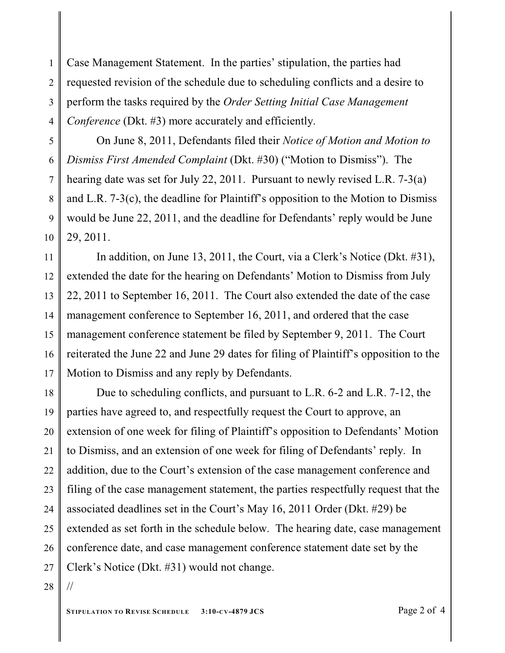1 2 3 4 Case Management Statement. In the parties' stipulation, the parties had requested revision of the schedule due to scheduling conflicts and a desire to perform the tasks required by the *Order Setting Initial Case Management Conference* (Dkt. #3) more accurately and efficiently.

5 6 7 8 9 10 On June 8, 2011, Defendants filed their *Notice of Motion and Motion to Dismiss First Amended Complaint* (Dkt. #30) ("Motion to Dismiss"). The hearing date was set for July 22, 2011. Pursuant to newly revised L.R. 7-3(a) and L.R. 7-3(c), the deadline for Plaintiff's opposition to the Motion to Dismiss would be June 22, 2011, and the deadline for Defendants' reply would be June 29, 2011.

11 12 13 14 15 16 17 In addition, on June 13, 2011, the Court, via a Clerk's Notice (Dkt. #31), extended the date for the hearing on Defendants' Motion to Dismiss from July 22, 2011 to September 16, 2011. The Court also extended the date of the case management conference to September 16, 2011, and ordered that the case management conference statement be filed by September 9, 2011. The Court reiterated the June 22 and June 29 dates for filing of Plaintiff's opposition to the Motion to Dismiss and any reply by Defendants.

18 19 20 21 22 23 24 25 26 27 Due to scheduling conflicts, and pursuant to L.R. 6-2 and L.R. 7-12, the parties have agreed to, and respectfully request the Court to approve, an extension of one week for filing of Plaintiff's opposition to Defendants' Motion to Dismiss, and an extension of one week for filing of Defendants' reply. In addition, due to the Court's extension of the case management conference and filing of the case management statement, the parties respectfully request that the associated deadlines set in the Court's May 16, 2011 Order (Dkt. #29) be extended as set forth in the schedule below. The hearing date, case management conference date, and case management conference statement date set by the Clerk's Notice (Dkt. #31) would not change.

28

//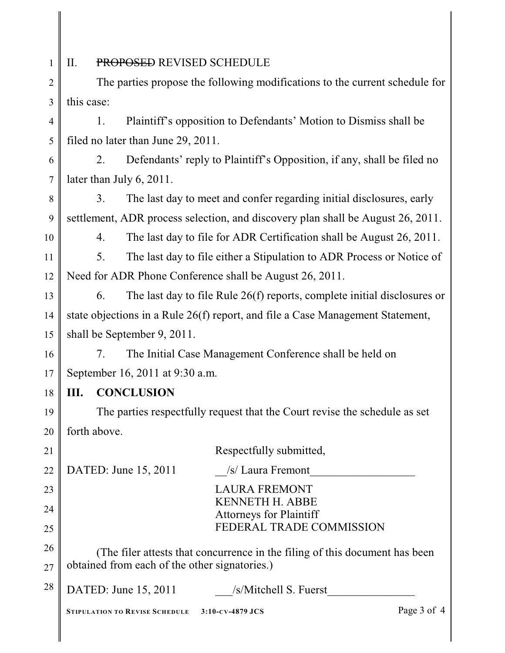1 II. PROPOSED REVISED SCHEDULE

2 3 The parties propose the following modifications to the current schedule for this case:

4 5 1. Plaintiff's opposition to Defendants' Motion to Dismiss shall be filed no later than June 29, 2011.

6 7 2. Defendants' reply to Plaintiff's Opposition, if any, shall be filed no later than July 6, 2011.

8 9 3. The last day to meet and confer regarding initial disclosures, early settlement, ADR process selection, and discovery plan shall be August 26, 2011.

10

4. The last day to file for ADR Certification shall be August 26, 2011.

11 12 5. The last day to file either a Stipulation to ADR Process or Notice of Need for ADR Phone Conference shall be August 26, 2011.

13 14 15 6. The last day to file Rule 26(f) reports, complete initial disclosures or state objections in a Rule 26(f) report, and file a Case Management Statement, shall be September 9, 2011.

16 17 7. The Initial Case Management Conference shall be held on September 16, 2011 at 9:30 a.m.

18 **III. CONCLUSION**

19 20 The parties respectfully request that the Court revise the schedule as set forth above.

| 21 |                                                                             | Respectfully submitted,                                  |             |
|----|-----------------------------------------------------------------------------|----------------------------------------------------------|-------------|
| 22 | DATED: June 15, 2011                                                        | /s/ Laura Fremont                                        |             |
| 23 |                                                                             | <b>LAURA FREMONT</b>                                     |             |
| 24 |                                                                             | <b>KENNETH H. ABBE</b><br><b>Attorneys for Plaintiff</b> |             |
| 25 |                                                                             | FEDERAL TRADE COMMISSION                                 |             |
| 26 | (The filer attests that concurrence in the filing of this document has been |                                                          |             |
| 27 | obtained from each of the other signatories.)                               |                                                          |             |
| 28 | DATED: June 15, 2011                                                        | /s/Mitchell S. Fuerst                                    |             |
|    | <b>STIPULATION TO REVISE SCHEDULE</b>                                       | 3:10-cv-4879 JCS                                         | Page 3 of 4 |